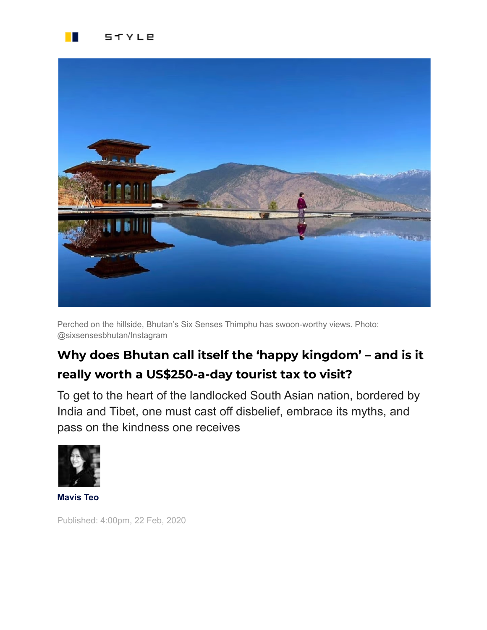



Perched on the hillside, Bhutan's Six Senses Thimphu has swoon-worthy views. Photo: @sixsensesbhutan/Instagram

## **Why does Bhutan call itself the 'happy kingdom' – and is it really worth a US\$250-a-day tourist tax to visit?**

To get to the heart of the landlocked South Asian nation, bordered by India and Tibet, one must cast off disbelief, embrace its myths, and pass on the kindness one receives



**[Mavis](https://www.scmp.com/author/mavis-teo) Teo**

Published: 4:00pm, 22 Feb, 2020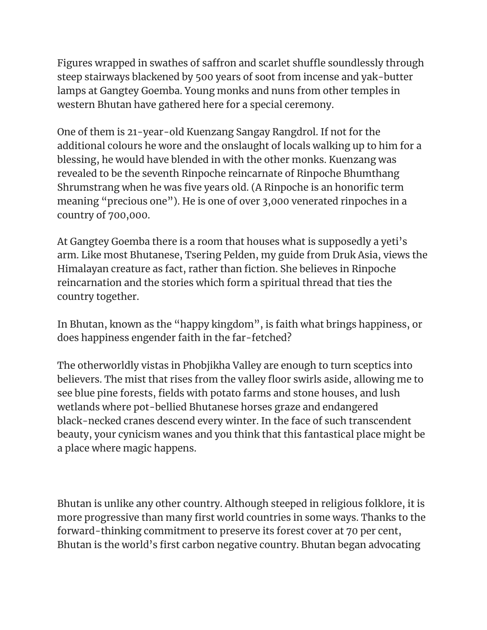Figures wrapped in swathes of saffron and scarlet shuffle soundlessly through steep stairways blackened by 500 years of soot from incense and yak-butter lamps at Gangtey Goemba. Young monks and nuns from other temples in western Bhutan have gathered here for a special ceremony.

One of them is 21-year-old Kuenzang Sangay Rangdrol. If not for the additional colours he wore and the onslaught of locals walking up to him for a blessing, he would have blended in with the other monks. Kuenzang was revealed to be the seventh Rinpoche reincarnate of Rinpoche Bhumthang Shrumstrang when he was five years old. (A Rinpoche is an honorific term meaning "precious one"). He is one of over 3,000 venerated rinpoches in a country of 700,000.

At Gangtey Goemba there is a room that houses what is supposedly a yeti's arm. Like most Bhutanese, Tsering Pelden, my guide from Druk Asia, views the Himalayan creature as fact, rather than fiction. She believes in Rinpoche reincarnation and the stories which form a spiritual thread that ties the country together.

In Bhutan, known as the "happy kingdom", is faith what brings happiness, or does happiness engender faith in the far-fetched?

The otherworldly vistas in Phobjikha Valley are enough to turn sceptics into believers. The mist that rises from the valley floor swirls aside, allowing me to see blue pine forests, fields with potato farms and stone houses, and lush wetlands where pot-bellied Bhutanese horses graze and endangered black-necked cranes descend every winter. In the face of such transcendent beauty, your cynicism wanes and you think that this fantastical place might be a place where magic happens.

Bhutan is unlike any other country. Although steeped in religious folklore, it is more progressive than many first world countries in some ways. Thanks to the forward-thinking commitment to preserve its forest cover at 70 per cent, Bhutan is the world's first carbon negative country. Bhutan began advocating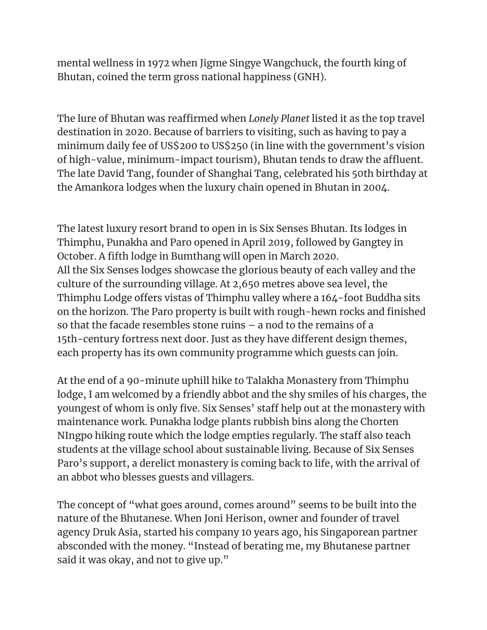mental wellness in 1972 when Jigme Singye Wangchuck, the fourth king of Bhutan, coined the term gross national happiness (GNH).

The lure of Bhutan was reaffirmed when *Lonely Planet* listed it as the top travel destination in 2020. Because of barriers to visiting, such as having to pay a minimum daily fee of US\$200 to US\$250 (in line with the government's vision of high-value, minimum-impact tourism), Bhutan tends to draw the affluent. The late David Tang, founder of Shanghai Tang, celebrated his 50th birthday at the Amankora lodges when the luxury chain opened in Bhutan in 2004.

The latest luxury resort brand to open in is Six Senses [Bhutan.](https://www.scmp.com/magazines/style/news-trends/article/3048940/we-review-six-senses-bhutan-4-new-luxury-lodges?module=inline&pgtype=article) Its lodges in Thimphu, Punakha and Paro opened in April 2019, followed by Gangtey in October. A fifth lodge in Bumthang will open in March 2020. All the Six Senses lodges showcase the glorious beauty of each valley and the culture of the surrounding village. At 2,650 metres above sea level, the Thimphu Lodge offers vistas of Thimphu valley where a 164-foot Buddha sits on the horizon. The Paro property is built with rough-hewn rocks and finished so that the facade resembles stone ruins – a nod to the remains of a 15th-century fortress next door. Just as they have different design themes, each property has its own community programme which guests can join.

At the end of a 90-minute uphill hike to Talakha Monastery from Thimphu lodge, I am welcomed by a friendly abbot and the shy smiles of his charges, the youngest of whom is only five. Six Senses' staff help out at the monastery with maintenance work. Punakha lodge plants rubbish bins along the Chorten NIngpo hiking route which the lodge empties regularly. The staff also teach students at the village school about sustainable living. Because of Six Senses Paro's support, a derelict monastery is coming back to life, with the arrival of an abbot who blesses guests and villagers.

The concept of "what goes around, comes around" seems to be built into the nature of the Bhutanese. When Joni Herison, owner and founder of travel agency Druk Asia, started his company 10 years ago, his Singaporean partner absconded with the money. "Instead of berating me, my Bhutanese partner said it was okay, and not to give up."